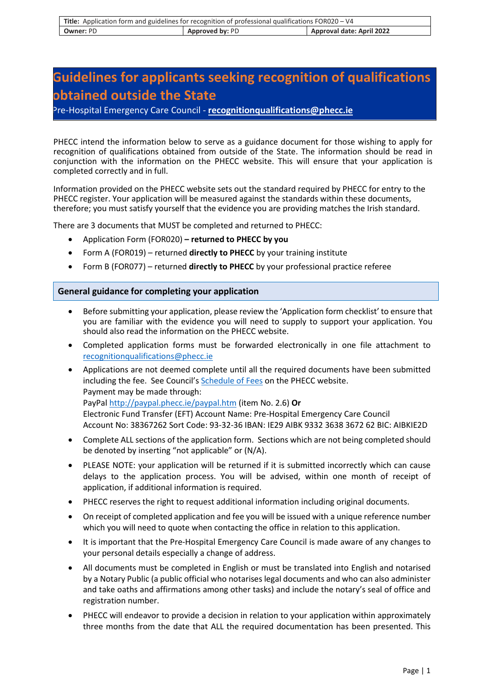| Title: Application form and guidelines for recognition of professional qualifications FOR020 - V4 |                        |                           |
|---------------------------------------------------------------------------------------------------|------------------------|---------------------------|
| <b>Owner: PD</b>                                                                                  | <b>Approved by: PD</b> | Approval date: April 2022 |

# **Guidelines for applicants seeking recognition of qualifications obtained outside the State**

Pre-Hospital Emergency Care Council - **[recognitionqualifications@phecc.ie](mailto:recognitionqualifications@phecc.ie)**

PHECC intend the information below to serve as a guidance document for those wishing to apply for recognition of qualifications obtained from outside of the State. The information should be read in conjunction with the information on the PHECC website. This will ensure that your application is completed correctly and in full.

Information provided on the PHECC website sets out the standard required by PHECC for entry to the PHECC register. Your application will be measured against the standards within these documents, therefore; you must satisfy yourself that the evidence you are providing matches the Irish standard.

There are 3 documents that MUST be completed and returned to PHECC:

- Application Form (FOR020) **– returned to PHECC by you**
- Form A (FOR019) returned **directly to PHECC** by your training institute
- Form B (FOR077) returned **directly to PHECC** by your professional practice referee

## **General guidance for completing your application**

- Before submitting your application, please review the 'Application form checklist' to ensure that you are familiar with the evidence you will need to supply to support your application. You should also read the information on the PHECC website.
- Completed application forms must be forwarded electronically in one file attachment to [recognitionqualifications@phecc.ie](mailto:recognitionqualifications@phecc.ie)
- Applications are not deemed complete until all the required documents have been submitted including the fee. See Council's [Schedule of Fees](http://paypal.phecc.ie/paypal.htm) on the PHECC website. Payment may be made through: PayPal<http://paypal.phecc.ie/paypal.htm> (item No. 2.6) **Or**  Electronic Fund Transfer (EFT) Account Name: Pre-Hospital Emergency Care Council Account No: 38367262 Sort Code: 93-32-36 IBAN: IE29 AIBK 9332 3638 3672 62 BIC: AIBKIE2D
- Complete ALL sections of the application form. Sections which are not being completed should be denoted by inserting "not applicable" or (N/A).
- PLEASE NOTE: your application will be returned if it is submitted incorrectly which can cause delays to the application process. You will be advised, within one month of receipt of application, if additional information is required.
- PHECC reserves the right to request additional information including original documents.
- On receipt of completed application and fee you will be issued with a unique reference number which you will need to quote when contacting the office in relation to this application.
- It is important that the Pre-Hospital Emergency Care Council is made aware of any changes to your personal details especially a change of address.
- All documents must be completed in English or must be translated into English and notarised by a Notary Public (a public official who notarises legal documents and who can also administer and take oaths and affirmations among other tasks) and include the notary's seal of office and registration number.
- PHECC will endeavor to provide a decision in relation to your application within approximately three months from the date that ALL the required documentation has been presented. This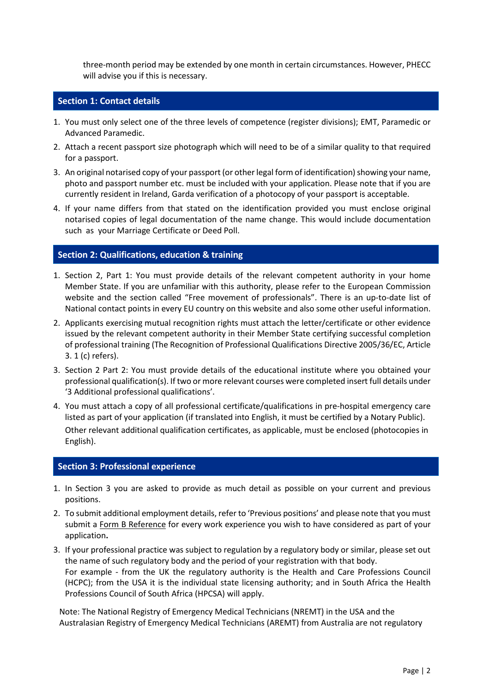three-month period may be extended by one month in certain circumstances. However, PHECC will advise you if this is necessary.

## **Section 1: Contact details**

- 1. You must only select one of the three levels of competence (register divisions); EMT, Paramedic or Advanced Paramedic.
- 2. Attach a recent passport size photograph which will need to be of a similar quality to that required for a passport.
- 3. An original notarised copy of your passport (or other legal form of identification) showing your name, photo and passport number etc. must be included with your application. Please note that if you are currently resident in Ireland, Garda verification of a photocopy of your passport is acceptable.
- 4. If your name differs from that stated on the identification provided you must enclose original notarised copies of legal documentation of the name change. This would include documentation such as your Marriage Certificate or Deed Poll.

## **Section 2: Qualifications, education & training**

- 1. Section 2, Part 1: You must provide details of the relevant competent authority in your home Member State. If you are unfamiliar with this authority, please refer to the European Commission website and the section called "Free movement of professionals". There is an up-to-date list of National contact points in every EU country on this website and also some other useful information.
- 2. Applicants exercising mutual recognition rights must attach the letter/certificate or other evidence issued by the relevant competent authority in their Member State certifying successful completion of professional training (The Recognition of Professional Qualifications Directive 2005/36/EC, Article 3. 1 (c) refers).
- 3. Section 2 Part 2: You must provide details of the educational institute where you obtained your professional qualification(s). If two or more relevant courses were completed insert full details under '3 Additional professional qualifications'.
- 4. You must attach a copy of all professional certificate/qualifications in pre-hospital emergency care listed as part of your application (if translated into English, it must be certified by a Notary Public). Other relevant additional qualification certificates, as applicable, must be enclosed (photocopies in English).

## **Section 3: Professional experience**

- 1. In Section 3 you are asked to provide as much detail as possible on your current and previous positions.
- 2. To submit additional employment details, refer to 'Previous positions' and please note that you must submit a Form B Reference for every work experience you wish to have considered as part of your application**.**
- 3. If your professional practice was subject to regulation by a regulatory body or similar, please set out the name of such regulatory body and the period of your registration with that body. For example - from the UK the regulatory authority is the Health and Care Professions Council (HCPC); from the USA it is the individual state licensing authority; and in South Africa the Health Professions Council of South Africa (HPCSA) will apply.

Note: The National Registry of Emergency Medical Technicians (NREMT) in the USA and the Australasian Registry of Emergency Medical Technicians (AREMT) from Australia are not regulatory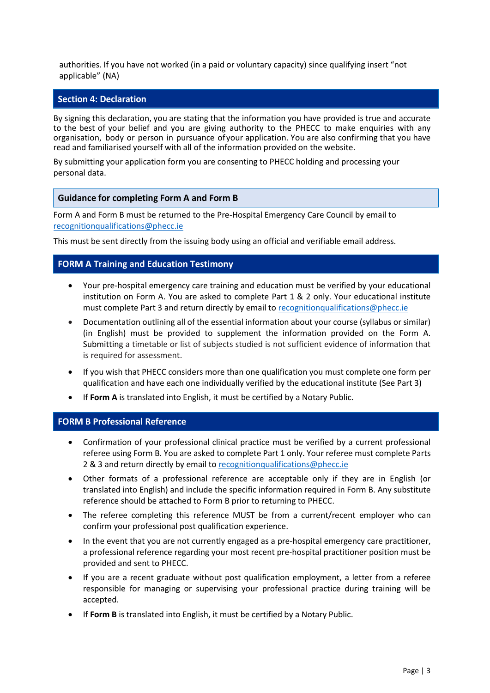authorities. If you have not worked (in a paid or voluntary capacity) since qualifying insert "not applicable" (NA)

## **Section 4: Declaration**

By signing this declaration, you are stating that the information you have provided is true and accurate to the best of your belief and you are giving authority to the PHECC to make enquiries with any organisation, body or person in pursuance of your application. You are also confirming that you have read and familiarised yourself with all of the information provided on the website.

By submitting your application form you are consenting to PHECC holding and processing your personal data.

#### **Guidance for completing Form A and Form B**

Form A and Form B must be returned to the Pre-Hospital Emergency Care Council by email to [recognitionqualifications@phecc.ie](mailto:recognitionqualifications@phecc.ie)

This must be sent directly from the issuing body using an official and verifiable email address.

#### **FORM A Training and Education Testimony**

- Your pre-hospital emergency care training and education must be verified by your educational institution on Form A. You are asked to complete Part 1 & 2 only. Your educational institute must complete Part 3 and return directly by email to [recognitionqualifications@phecc.ie](mailto:recognitionqualifications@phecc.ie)
- Documentation outlining all of the essential information about your course (syllabus or similar) (in English) must be provided to supplement the information provided on the Form A. Submitting a timetable or list of subjects studied is not sufficient evidence of information that is required for assessment.
- If you wish that PHECC considers more than one qualification you must complete one form per qualification and have each one individually verified by the educational institute (See Part 3)
- If **Form A** is translated into English, it must be certified by a Notary Public.

## **FORM B Professional Reference**

- Confirmation of your professional clinical practice must be verified by a current professional referee using Form B. You are asked to complete Part 1 only. Your referee must complete Parts 2 & 3 and return directly by email t[o recognitionqualifications@phecc.ie](mailto:recognitionqualifications@phecc.ie)
- Other formats of a professional reference are acceptable only if they are in English (or translated into English) and include the specific information required in Form B. Any substitute reference should be attached to Form B prior to returning to PHECC.
- The referee completing this reference MUST be from a current/recent employer who can confirm your professional post qualification experience.
- In the event that you are not currently engaged as a pre-hospital emergency care practitioner, a professional reference regarding your most recent pre-hospital practitioner position must be provided and sent to PHECC.
- If you are a recent graduate without post qualification employment, a letter from a referee responsible for managing or supervising your professional practice during training will be accepted.
- If **Form B** is translated into English, it must be certified by a Notary Public.